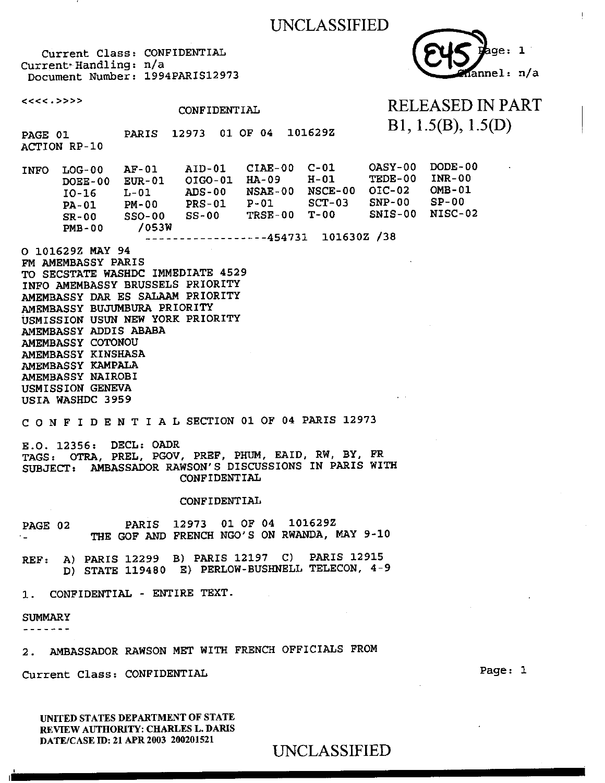



#### $<<<.>>>$ RELEASED IN PART CONFIDENTIAL Bl, 1.5(B), 1.5(D) PAGE 01 PARIS 12973 01 OF 04 101629Z ACTION RP-10 INFO LOG-00 AF-01 AID-01 CIAE-00 C-01<br>
DOEE-00 EUR-01 OIGO-01 HA-09 H-01 OASY-00 DODE-00 DOEE-00 EUR-01 OIG0-01 HA-09 H-01 TEDE-00 INR-00<br>OIC-02 OMB-01 10-16 L-01 ADS-00 NSAE-00 NSCE-00<br>
PA-01 PM-00 PRS-01 P-01 SCT-03  $OIC-02$ SNP-00 SP-00 PM-00 PRS-01<br>SSO-00 SS-00 SNIS-00 NISC-02 SR-00 SSO-00 SS-00 TRSE-00 T-00<br>PMB-00 /053W  $PMB-00$ 454731 101630Z /38 O 101629Z MAY 94 FM AMEMBASSY PARIS TO SECSTATE WASHDC IMMEDIATE 4529 INFO AMEMBASSY BRUSSELS PRIORITY AMEMBASSY DAR ES SALAAM PRIORITY AMEMBASSY BUJUMBURA PRIORITY USMISSION USUN NEW YORK PRIORITY AMEMBASSY ADDIS ABABA AMEMBASSY COTONOU AMEMBASSY KINSHASA AMEMBASSY KAMPALA AMEMBASSY NAIROBI USMISSION GENEVA

CONFIDENTIALSECTION 01 OF 04 PARIS 12973

E.O. 12356: DECL: OADR TAGS: OTRA, PREL, PGOV, PREF, PHUM, EAID, RW, BY, FR SUBJECT: AMBASSADOR RAWSON'S DISCUSSIONS IN PARIS WITH CONFIDENTIAL

#### CONFIDENTIAL

PAGE 02 THE GOF AND FRENCH NGO'S ON RWANDA, MAY 9-10 12973 01 OF 04 101629Z

REF: A) PARIS 12299 B) PARIS 12197 C) PARIS 12915 D) STATE 119480 E) PERLOW-BUSHNELL TELECON, 4-9

1. CONFIDENTIAL - ENTIRE TEXT.

**SUMMARY** 

USIA WASHDC 3959

-------

2. AMBASSADOR RAWSON MET WITH FRENCH OFFICIALS FROM

Current Class: CONFIDENTIAL Page: 1

UNITED STATES DEPARTMENT OF STATE REVIEW AUTHORITY: CHARLES L. DARIS DATE/CASE ID: 21 APR 2003 200201521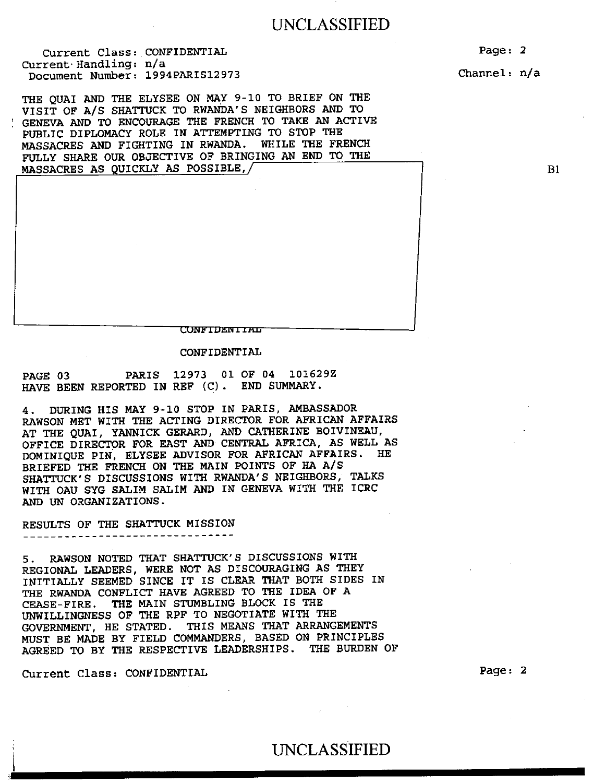Current Class: CONFIDENTIAL Current. Handling: n/a Document Number: 1994PARIS12973

THE QUAI AND THE ELYSEE ON MAY 9-10 TO BRIEF ON THE VISIT OF A/S SHATTUCK TO RWANDA'S NEIGHBORS AND TO GENEVA AND TO ENCOURAGE THE FRENCH TO TAKE AN ACTIVE PUBLIC DIPLOMACY ROLE IN ATTEMPTING TO STOP THE MASSACRES AND FIGHTING IN RWANDA. WHILE THE FRENCH FULLY SHARE OUR OBJECTIVE OF BRINGING AN END TO THE MASSACRES AS QUICKLY AS POSSIBLE,/

CONFIDENIIAL

CONFIDENTIAL

PAGE 03 PARIS 12973 01 OF 04 101629Z HAVE BEEN REPORTED IN REF (C). END SUMMARY.

4. DURING HIS MAY 9-10 STOP IN PARIS, AMBASSADOR RAWSON MET WITH THE ACTING DIRECTOR FOR AFRICAN AFFAIRS AT THE QUAI, YANNICK GERARD, AND CATHERINE BOIVINEAU, OFFICE DIRECTOR FOR EAST AND CENTRAL AFRICA, AS WELL AS DOMINIQUE PIN, ELYSEE ADVISOR FOR AFRICAN AFFAIRS. HE BRIEFED THE FRENCH ON THE MAIN POINTS OF HA A/S SHATTUCK'S DISCUSSIONS WITH RWANDA'S NEIGHBORS, TALKS WITH OAU SYG SALIM SALIM AND IN GENEVA WITH THE ICRC AND UN ORGANIZATIONS.

RESULTS OF THE SHATTUCK MISSION

5. RAWSON NOTED THAT SHATTUCK'S DISCUSSIONS WITH REGIONAL LEADERS, WERE NOT AS DISCOURAGING AS THEY INITIALLY SEEMED SINCE IT IS CLEAR THAT BOTH SIDES IN THE RWANDA CONFLICT HAVE AGREED TO THE IDEA OF A CEASE-FIRE. THE MAIN STUMBLING BLOCK IS THE UNWILLINGNESS OF THE RPF TO NEGOTIATE WITH THE GOVERNMENT, HE STATED. THIS MEANS THAT ARRANGEMENTS MUST BE MADE BY FIELD COMMANDERS, BASED ON PRINCIPLES AGREED TO BY THE RESPECTIVE LEADERSHIPS. THE BURDEN OF

Current Class: CONFIDENTIAL Page: 2

Page: 2 Channel: n/a

 $B1$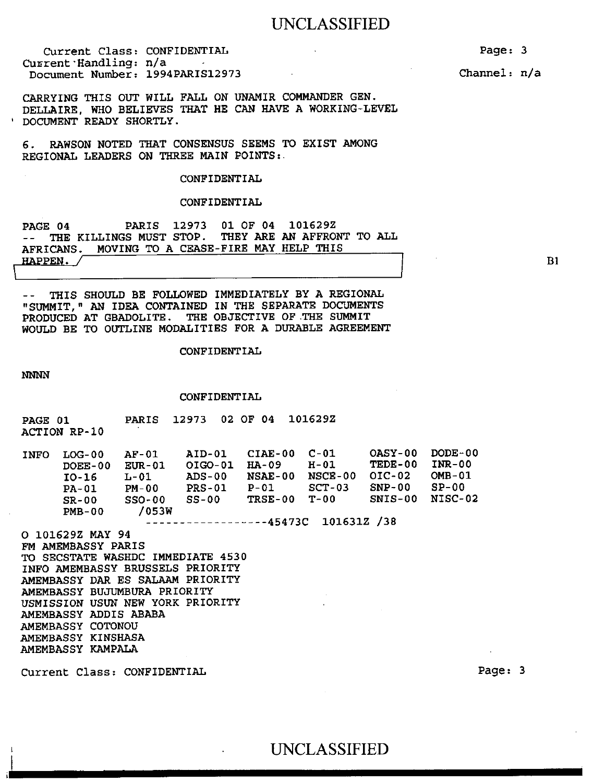Current Class: CONFIDENTIAL Current Handling: n/a Document Number: 1994PARIS12973

CARRYING THIS OUT WILL FALL ON UNAMIR COMMANDER GEN. DELLAIRE, WHO BELIEVES THAT HE CAN HAVE A WORKING-LEVEL ' DOCUMENT READY SHORTLY.

6. RAWSON NOTED THAT CONSENSUS SEEMS TO EXIST AMONG REGIONAL LEADERS ON THREE MAIN POINTS:.

#### CONFIDENTIAL

### CONFIDENTIAL

PAGE 04 PARIS 12973 01 OF 04 101629Z -- THE KILLINGS MUST STOP. THEY ARE AN AFFRONT TO ALL AFRICANS. MOVING TO A CEASE-FIRE MAY HELP THIS , HAPPEN. /

-- THIS SHOULD BE FOLLOWED IMMEDIATELY BY A REGIONAL "SUMMIT," AN IDEA CONTAINED IN THE SEPARATE DOCUMENTS PRODUCED AT GBADOLITE. THE OBJECTIVE OF.THE SUMMIT WOULD BE TO OUTLINE MODALITIES FOR A DURABLE AGREEMENT

CONFIDENTIAL

*NNNN* 

#### CONFIDENTIAL

| <b>PAGE 01</b> | <b>ACTION RP-10</b>                                     | PARIS 12973 02 OF 04 101629Z                                                 |        |                                   |  |
|----------------|---------------------------------------------------------|------------------------------------------------------------------------------|--------|-----------------------------------|--|
|                | $INFO$ $LOG-00$ $AF-01$<br>DOEE-00 EUR-01<br>TO-16 L-01 | AID-01 CIAE-00 C-01<br>01GO-01 HA-09<br>ADS-00 NSAE-00 NSCE-00 OIC-02 OMB-01 | $H-01$ | OASY-00 DODE-00<br>TEDE-00 INR-00 |  |

PA-01 PM-00 PRS-01 P-01 SCT-03 SNP-00 SP-00 SR-00 SSO-00 SS-00 TRSE-00 T-00 SNIS-00 NISC-02 PMB-00 /053W

45473C 101631Z /38

O 101629Z MAY 94 FM AMEMBASSY PARIS TO SECSTATE WASHDC IMMEDIATE 4530 INFO AMEMBASSY BRUSSELS PRIORITY AMEMBASSY DAR ES SALAAM PRIORITY AMEMBASSY BUJUMBURA PRIORITY USMISSION USUN NEW YORK PRIORITY AMEMBASSY ADDIS ABABA AMEMBASSY COTONOU AMEMBASSY KINSHASA AMEMBASSY KAMPALA

Current Class: CONFIDENTIAL Page: 3

Page: 3

Channel: n/a

Bi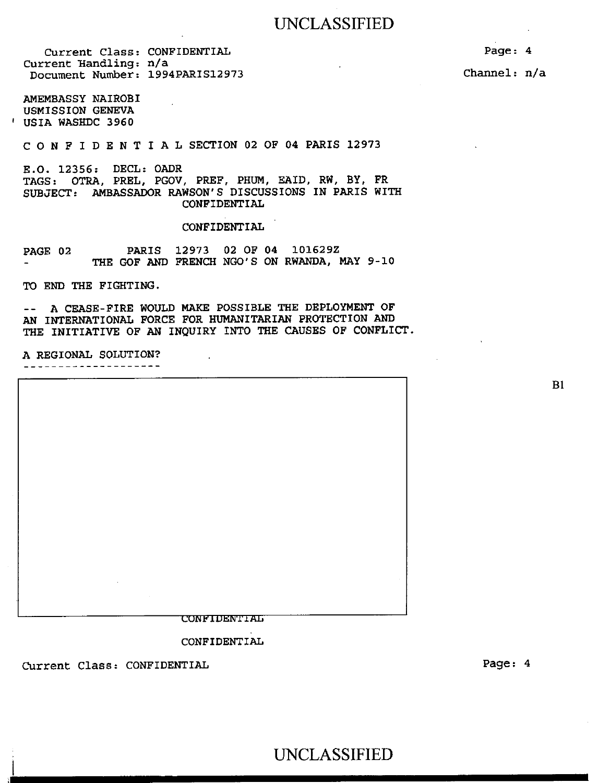Current Class: CONFIDENTIAL Current Handling: n/a Document Number: 1994PARIS12973

AMEMBASSY NAIROBI USMISSION GENEVA ' USIA WASHDC 3960

CONFIDENTIALSECTION 02 OF 04 PARIS 12973

E.O. 12356: DECL: OADR TAGS: OTRA, PREL, PGOV, PREF, PHUM, EAID, RW, BY, FR SUBJECT: AMBASSADOR RAWSON'S DISCUSSIONS IN PARIS WITH CONFIDENTIAL

#### CONFIDENTIAL

PAGE 02 PARIS 12973 02 OF 04 101629Z THE GOF AND FRENCH NGO'S ON RWANDA, MAY 9-10

TO END THE FIGHTING.

-- A CEASE-FIRE WOULD MAKE POSSIBLE THE DEPLOYMENT OF AN INTERNATIONAL FORCE FOR HUMANITARIAN PROTECTION AND THE INITIATIVE OF AN INQUIRY INTO THE CAUSES OF CONFLICT.

A REGIONAL SOLUTION?<br>--------------------

**CONFIDENTIAL** 

CONFIDENTIAL

Current Class: CONFIDENTIAL

Page: 4 Channel: n/a

B1

UNCLASSIFIED

Page: 4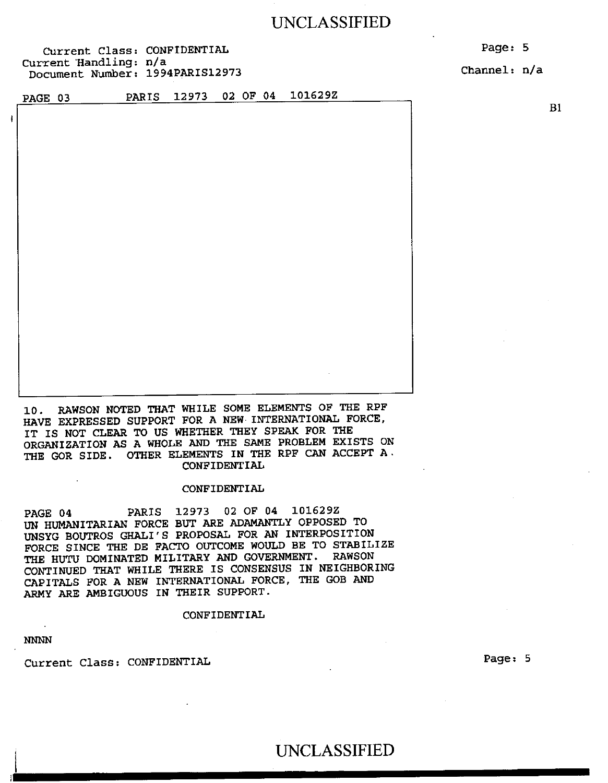Current Class: CONFIDENTIAL Current 'Handling: n/a Document Number: 1994PARIS12973 Page: 5

Channel: n/a

PAGE 03 PARIS 12973 02 OF 04 101629Z

B1

10. RAWSON NOTED THAT WHILE SOME ELEMENTS OF THE RPF HAVE EXPRESSED SUPPORT FOR A NEW INTERNATIONAL FORCE, IT IS NOT CLEAR TO US WHETHER THEY SPEAK FOR THE ORGANIZATION AS A WHOLE AND THE SAME PROBLEM EXISTS ON THE GOR SIDE. OTHER ELEMENTS IN THE RPF CAN ACCEPT A. CONFIDENTIAL

#### CONFIDENTIAL

PAGE 04 PARIS 12973 02 OF 04 101629Z UN HUMANITARIAN FORCE BUT ARE ADAMANTLY OPPOSED TO UNSYG BOUTROS GHALI'S PROPOSAL FOR AN INTERPOSITION FORCE SINCE THE DE FACTO OUTCOME WOULD BE TO STABILIZE THE HUTU DOMINATED MILITARY AND GOVERNMENT. RAWSON CONTINUED THAT WHILE THERE IS CONSENSUS IN NEIGHBORING CAPITALS FOR A NEW INTERNATIONAL FORCE, THE GOB AND ARMY ARE AMBIGUOUS IN THEIR SUPPORT.

### CONFIDENTIAL

*NNNN* 

Current Class: CONFIDENTIAL Page: 5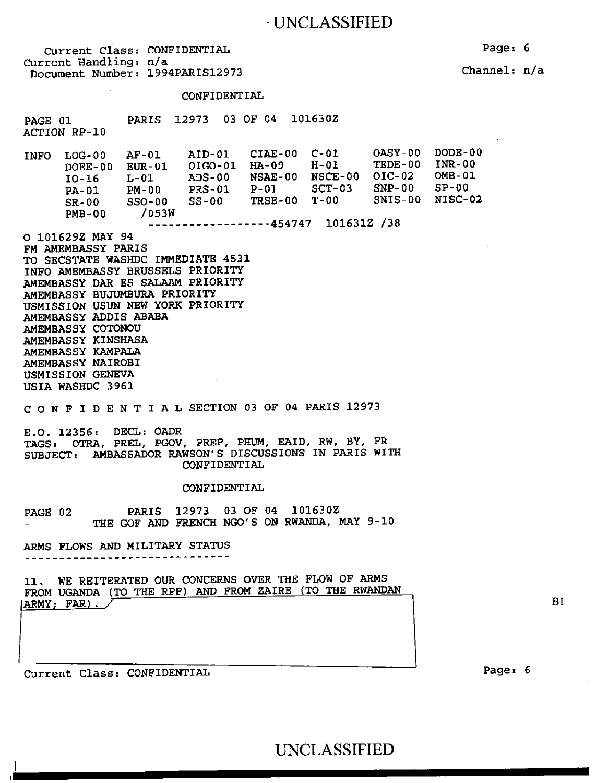| Current Class: CONFIDENTIAL<br>Current Handling: n/a<br>Document Number: 1994PARIS12973 |  |
|-----------------------------------------------------------------------------------------|--|
|                                                                                         |  |

CONFIDENTIAL

PAGE 01 PARIS 12973 03 OF 04 101630Z ACTION RP-10 INFO LOG-00 AF-01 AID-01 CIAE-00 C-01 OASY-00 DODE-00

DOEE-00 10-16 PA-01 SR-00 PMB-00 EUR-01 OIG0-01 HA-09 L-01 ADS-00 NSAE-00 PM-00 PRS-01 SSO-00 SS-00 /053W P-01 TRSE-00 TEDE-00 INR-00<br>OIC-02 OMB-01  $NSCE-00$   $OIC-02$ SCT-03 SNP-00 SP-00 SNIS-00 NISC-02 454747 101631Z /38 0 101629Z MAY 94

FM AMEMBASSY PARIS TO SECSTATE WASHDC IMMEDIATE 4531 INFO AMEMBASSY BRUSSELS PRIORITY AMEMBASSY.DAR ES SALAAM PRIORITY AMEMBASSY BUJUMBURA PRIORITY USMISSION USUN NEW YORK PRIORITY AMEMBASSY ADDIS ABABA AMEMBASSY COTONOU AMEMBASSY KINSHASA AMEMBASSY KAMPALA AMEMBASSY NAIROBI USMISSION GENEVA USIA WASHDC 3961

CONFIDENTIALSECTION 03 OF 04 PARIS 12973

E.O. 12356: DECL: OADR TAGS: OTRA, PREL, PGOV, PREF, PHUM, EAID, RW, BY, FR SUBJECT: AMBASSADOR RAWSON'S DISCUSSIONS IN PARIS WITH CONFIDENTIAL

#### CONFIDENTIAL

PAGE 02 PARIS 12973 03 OF 04 101630Z THE GOF AND FRENCH NGO'S ON RWANDA, MAY 9-10

ARMS FLOWS AND MILITARY STATUS 

11. WE REITERATED OUR CONCERNS OVER THE FLOW OF ARMS FROM UGANDA (TO THE RPF) AND FROM ZAIRE (TO THE RWANDAN ARMY; FAR).

Current Class: CONFIDENTIAL

Page: 6

BI

Channel: n/a

Page: 6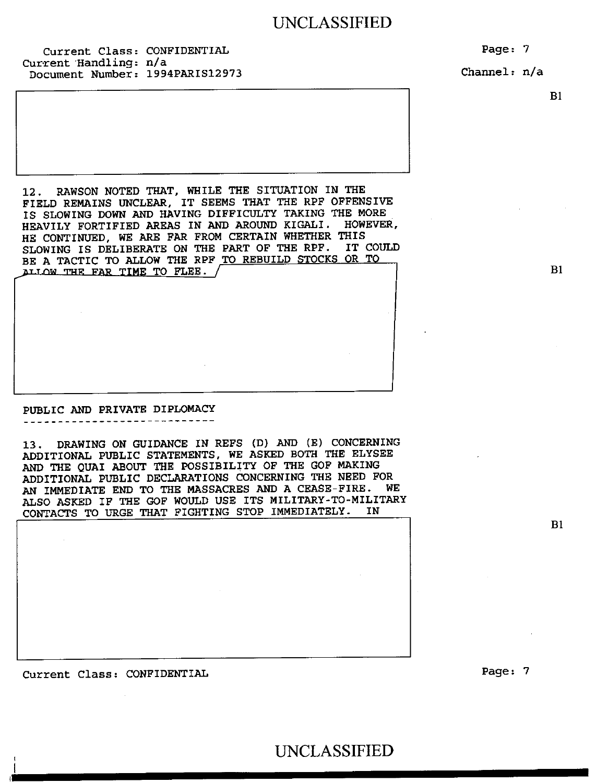Current Class: CONFIDENTIAL Current Handling: n/a Document Number: 1994PARIS12973 Page: 7

Channel: n/a

B1

B1

B1

12. RAWSON NOTED THAT, WHILE THE SITUATION IN THE FIELD REMAINS UNCLEAR, IT SEEMS THAT THE RPF OFFENSIVE IS SLOWING DOWN AND HAVING DIFFICULTY TAKING THE MORE HEAVILY FORTIFIED AREAS IN AND AROUND KIGALI. HOWEVER, HE CONTINUED, WE ARE FAR FROM CERTAIN WHETHER THIS SLOWING IS DELIBERATE ON THE PART OF THE RPF. IT COULD BE A TACTIC TO ALLOW THE RPF TO REBUILD STOCKS OR TO ALLOW THE FAR TIME TO FLEE.

### PUBLIC AND PRIVATE DIPLOMACY

13. DRAWING ON GUIDANCE IN REFS (D) AND (E) CONCERNING ADDITIONAL PUBLIC STATEMENTS, WE ASKED BOTH THE ELYSEE AND THE QUAI ABOUT THE POSSIBILITY OF THE GOF MAKING ADDITIONAL PUBLIC DECLARATIONS CONCERNING THE NEED FOR AN IMMEDIATE END TO THE MASSACRES AND A CEASE-FIRE. WE ALSO ASKED IF THE GOF WOULD USE ITS MILITARY-TO-MILITARY CONTACTS TO URGE THAT FIGHTING STOP IMMEDIATELY. IN

Current Class: CONFIDENTIAL Page: 7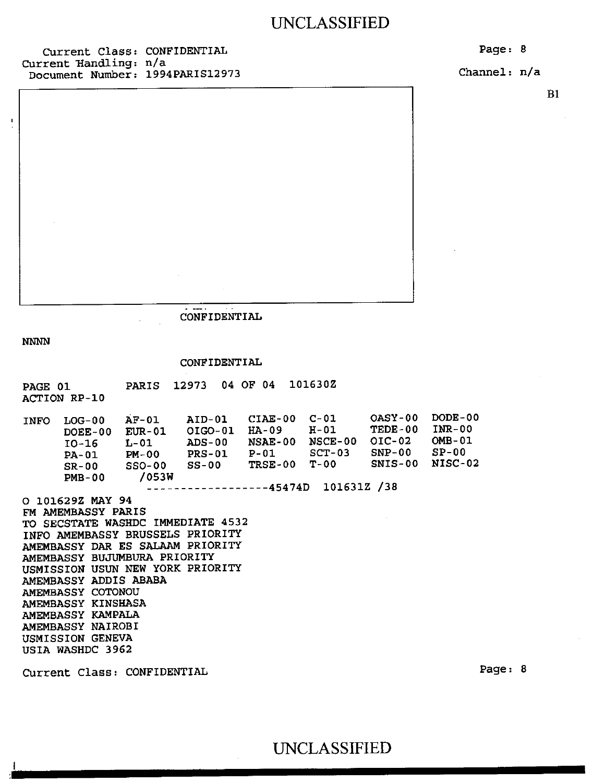Current Class: CONFIDENTIAL Current handling: n/a Document Number: 1994PARIS12973 Page: 8

Channel: n/a

B1

CONFIDENTIAL

NNNN

 $\mathbf{I}$ 

### CONFIDENTIAL

PAGE 01 PARIS 12973 04 OF 04 101630Z ACTION RP-10

INFO LOG-00 AF-01 AID-01 CIAE-00 C-01 OASY-00 DODE-00<br>DOEE-00 EUR-01 OIGO-01 HA-09 H-01 TEDE-00 INR-00 OIGO-01 HA-09 H-01 TEDE-00 INR-00<br>ADS-00 NSAE-00 NSCE-00 OIC-02 OMB-01 10-16 L-01 ADS-00 NSAE-00 NSCE-00 OIC-02 OMB-01<br>PA-01 PM-00 PRS-01 P-01 SCT-03 SNP-00 SP-00 PA-01 PM-00 PRS-01 P-01 SCT-03 SNP-00 SP-00 SR-00 SSO-00 SS-00 TRSE-00 T-00 SNIS-00 NISC-02<br>PMB-00 /053W  $PMB-00$ -----------45474D 101631Z /38

0 101629Z MAY 94 FM AMEMBASSY PARIS TO SECSTATE WASHDC IMMEDIATE 4532 INFO AMEMBASSY BRUSSELS PRIORITY AMEMBASSY DAR ES SALAAM PRIORITY AMEMBASSY BUJUMBURA PRIORITY USMISSION USUN NEW YORK PRIORITY AMEMBASSY ADDIS ABABA AMEMBASSY COTONOU AMEMBASSY KINSHASA AMEMBASSY KAMPALA AMEMBASSY NAIROBI USMISSION GENEVA USIA WASHDC 3962

Current Class: CONFIDENTIAL Page: 8